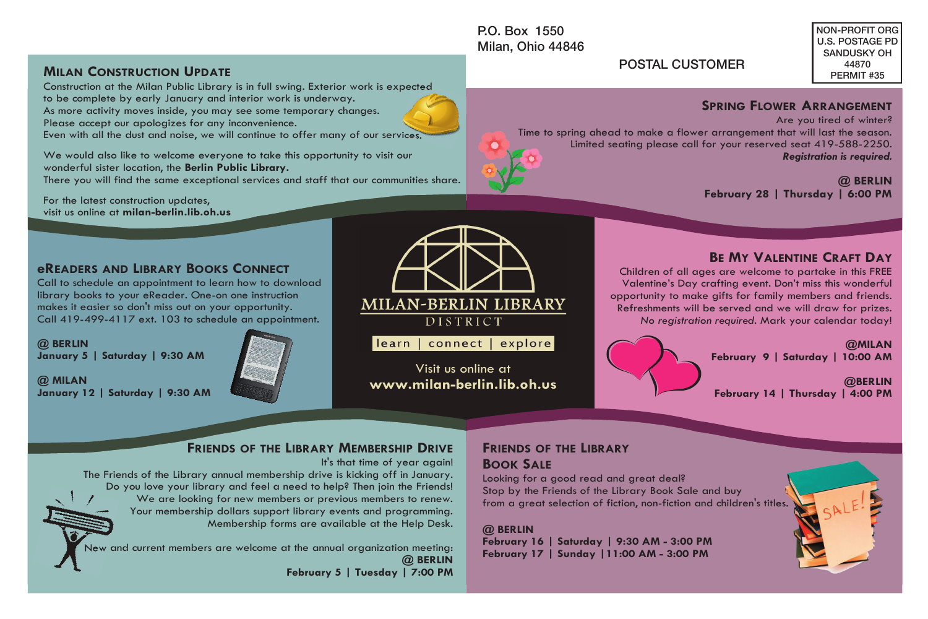Milan, Ohio 44846

NON-PROFIT ORG U.S. POSTAGE PD SANDUSKY OH 44870 PERMIT #35

### POSTAL CUSTOMER

### **SPRING FLOWER ARRANGEMENT**

Are you tired of winter? Time to spring ahead to make a flower arrangement that will last the season. Limited seating please call for your reserved seat 419-588-2250. *Registration is required.* 

**@ BERLIN February 28 | Thursday | 6:00 PM**

**BE MY VALENTINE CRAFT DAY**

Children of all ages are welcome to partake in this FREE Valentine's Day crafting event. Don't miss this wonderful opportunity to make gifts for family members and friends. Refreshments will be served and we will draw for prizes. *No registration required.* Mark your calendar today!



**@BERLIN February 14 | Thursday | 4:00 PM** 

# **FRIENDS OF THE LIBRARY MEMBERSHIP DRIVE**

It's that time of year again!

The Friends of the Library annual membership drive is kicking off in January. Do you love your library and feel a need to help? Then join the Friends! We are looking for new members or previous members to renew. Your membership dollars support library events and programming. Membership forms are available at the Help Desk.

New and current members are welcome at the annual organization meeting: **@ BERLIN February 5 | Tuesday | 7:00 PM**

### **FRIENDS OF THE LIBRARY BOOK SALE**

Looking for a good read and great deal? Stop by the Friends of the Library Book Sale and buy from a great selection of fiction, non-fiction and children's titles.

**@ BERLIN**

**February 16 | Saturday | 9:30 AM - 3:00 PM February 17 | Sunday |11:00 AM - 3:00 PM** 



MINI READ TRIND IS TRUCTURE THE USBAND MODEL TO THE USBAND MODEL TO THE USBAND MODEL TO THE USBAND MODEL TO THE USBAND TO THE USBAND TO THE USBAND SCHED TO THE USBAND SCHED TO THE USBAND SCHED TO THE USBAND SCHED TO THE US

Visit us online at **www.milan-berlin.lib.oh.us** 

### **MILAN CONSTRUCTION UPDATE**

Construction at the Milan Public Library is in full swing. Exterior work is expected to be complete by early January and interior work is underway. As more activity moves inside, you may see some temporary changes. Please accept our apologizes for any inconvenience. Even with all the dust and noise, we will continue to offer many of our services.

We would also like to welcome everyone to take this opportunity to visit our wonderful sister location, the **Berlin Public Library.** 

There you will find the same exceptional services and staff that our communities share.

For the latest construction updates, visit us online at **milan-berlin.lib.oh.us**

### **eREADERS AND LIBRARY BOOKS CONNECT**

Call to schedule an appointment to learn how to download library books to your eReader. One-on one instruction makes it easier so don't miss out on your opportunity. Call 419-499-4117 ext. 103 to schedule an appointment.

**@ BERLIN January 5 | Saturday | 9:30 AM**

**@ MILAN January 12 | Saturday | 9:30 AM**